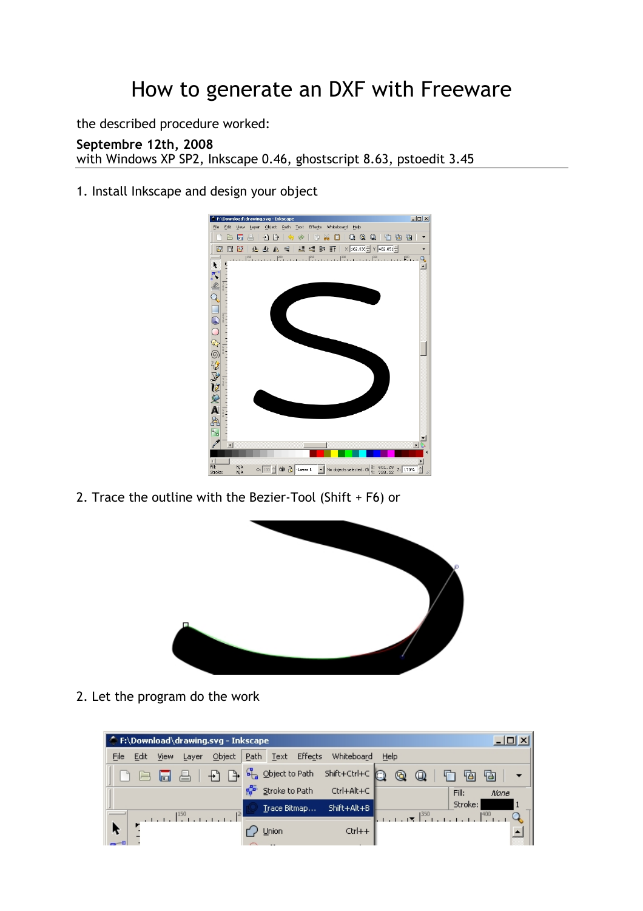## How to generate an DXF with Freeware

the described procedure worked:

**Septembre 12th, 2008**  with Windows XP SP2, Inkscape 0.46, ghostscript 8.63, pstoedit 3.45

1. Install Inkscape and design your object



2. Trace the outline with the Bezier-Tool (Shift + F6) or



2. Let the program do the work

| F:\Download\drawing.svg - Inkscape<br>-10 |      |      |       |              |      |                                      |         |              |      |         |         |       |      |  |
|-------------------------------------------|------|------|-------|--------------|------|--------------------------------------|---------|--------------|------|---------|---------|-------|------|--|
| File                                      | Edit | View | Layer | Object       | Path | Text                                 | Effects | Whiteboard   | Help |         |         |       |      |  |
|                                           |      |      |       |              |      | $\int_{\mathbb{R}^2}$ Object to Path |         | Shift+Ctrl+C | ⋒    | Q       |         | 恼     | 庖    |  |
|                                           |      |      |       |              |      | Stroke to Path                       |         | Ctrl+Alt+C   |      |         |         | Fill: | None |  |
| 150                                       |      |      |       | Trace Bitmap |      | Shift+Alt+B                          |         |              | 1350 | Stroke: | $400 -$ |       |      |  |
| R                                         |      |      |       |              |      | Union                                |         | $Ctrl++$     |      |         |         |       |      |  |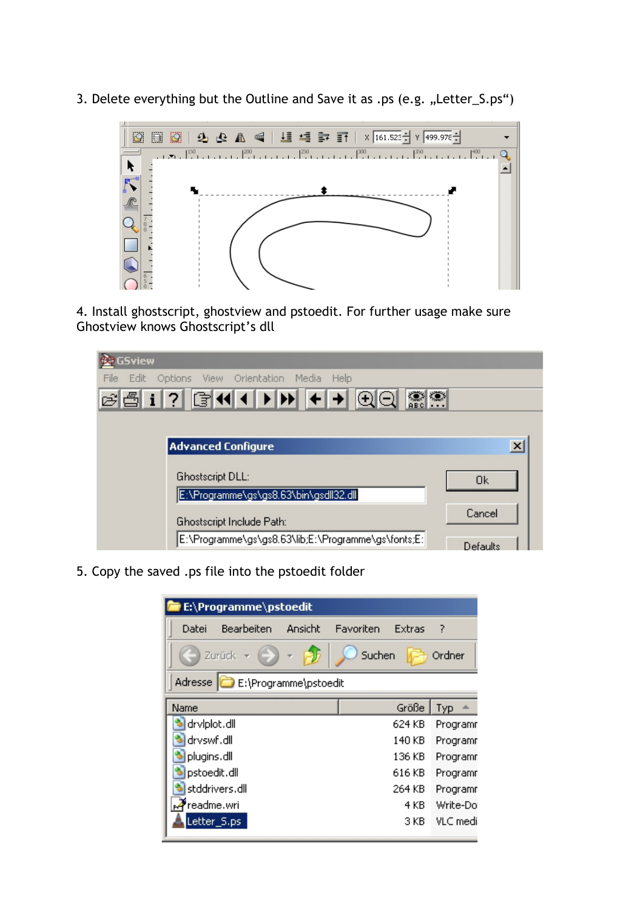3. Delete everything but the Outline and Save it as .ps (e.g. "Letter\_S.ps")



4. Install ghostscript, ghostview and pstoedit. For further usage make sure Ghostview knows Ghostscript's dll

| <b>GSview</b>                                       |                 |
|-----------------------------------------------------|-----------------|
| File Edit Options View Orientation Media Help       |                 |
| GAI?GHIPHHHQQR?                                     |                 |
|                                                     |                 |
| <b>Advanced Configure</b>                           | $\vert x \vert$ |
|                                                     |                 |
| <b>Ghostscript DLL:</b>                             | <b>Ok</b>       |
| E:\Programme\gs\gs8.63\bin\gsdll32.dll              |                 |
|                                                     | Cancel          |
| Ghostscript Include Path:                           |                 |
| E:\Programme\gs\gs8.63\lib;E:\Programme\gs\fonts;E: | Defaults        |

5. Copy the saved .ps file into the pstoedit folder

| E:\Programme\pstoedit |                       |         |           |          |        |
|-----------------------|-----------------------|---------|-----------|----------|--------|
| Datei                 | Bearbeiten            | Ansicht | Favoriten | Extras   | 7      |
| Zurück                |                       |         | Suchen    |          | Ordner |
| Adresse               | E:\Programme\pstoedit |         |           |          |        |
| Name                  |                       |         |           | Größe    | Typ    |
| drvlplot.dll          |                       |         | 624 KB    | Programr |        |
| drvswf.dll            |                       |         | 140 KB    | Programr |        |
| plugins.dll           |                       |         | 136 KB    | Programr |        |
| pstoedit.dll          |                       |         | 616 KB    | Programr |        |
| stddrivers.dll        |                       |         | 264 KB    | Programr |        |
| readme.wri            |                       |         | 4 KB      | Write-Do |        |
| Letter_S.ps           |                       |         | 3 KB      | VLC medi |        |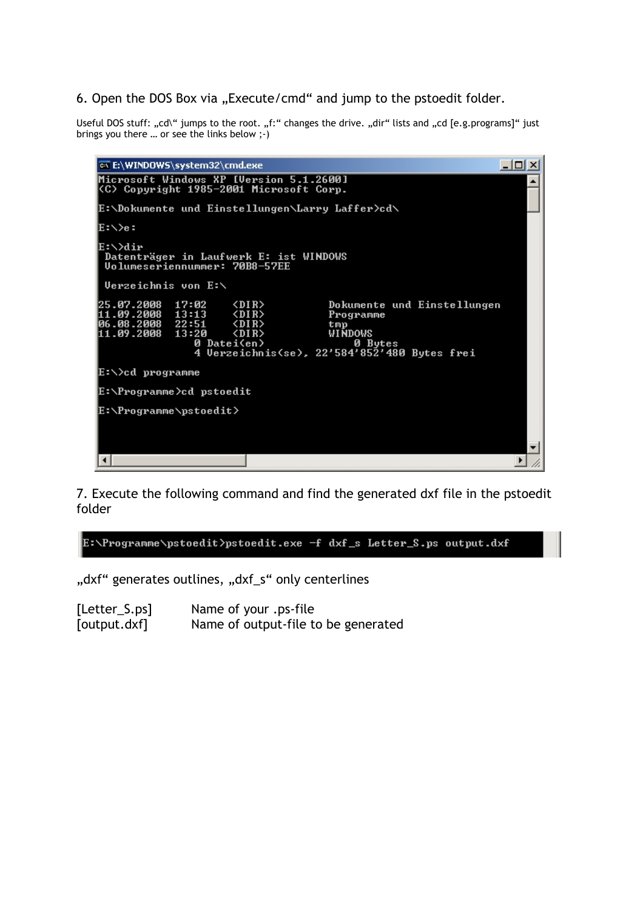## 6. Open the DOS Box via "Execute/cmd" and jump to the pstoedit folder.

Useful DOS stuff: "cd\" jumps to the root. "f:" changes the drive. "dir" lists and "cd [e.g.programs]" just brings you there … or see the links below ;-)

| - 10                                                                               |  |  |  |  |  |  |
|------------------------------------------------------------------------------------|--|--|--|--|--|--|
|                                                                                    |  |  |  |  |  |  |
|                                                                                    |  |  |  |  |  |  |
| E:\>e:                                                                             |  |  |  |  |  |  |
| E:\>dir<br>Datenträger in Laufwerk E: ist WINDOWS<br>Volumeseriennummer: 70B8-57EE |  |  |  |  |  |  |
|                                                                                    |  |  |  |  |  |  |
|                                                                                    |  |  |  |  |  |  |
| E:\>cd programme                                                                   |  |  |  |  |  |  |
| E:\Programme>cd pstoedit                                                           |  |  |  |  |  |  |
|                                                                                    |  |  |  |  |  |  |
|                                                                                    |  |  |  |  |  |  |

7. Execute the following command and find the generated dxf file in the pstoedit folder

$$
\hbox{\tt E:\Programme\texttt{v}stoedit}\texttt{p}stoedit.exe-f dxf_s letter_S.ps output.dxf
$$

"dxf" generates outlines, "dxf\_s" only centerlines

| [Letter_S.ps] | Name of your .ps-file               |
|---------------|-------------------------------------|
| [output.dxf]  | Name of output-file to be generated |